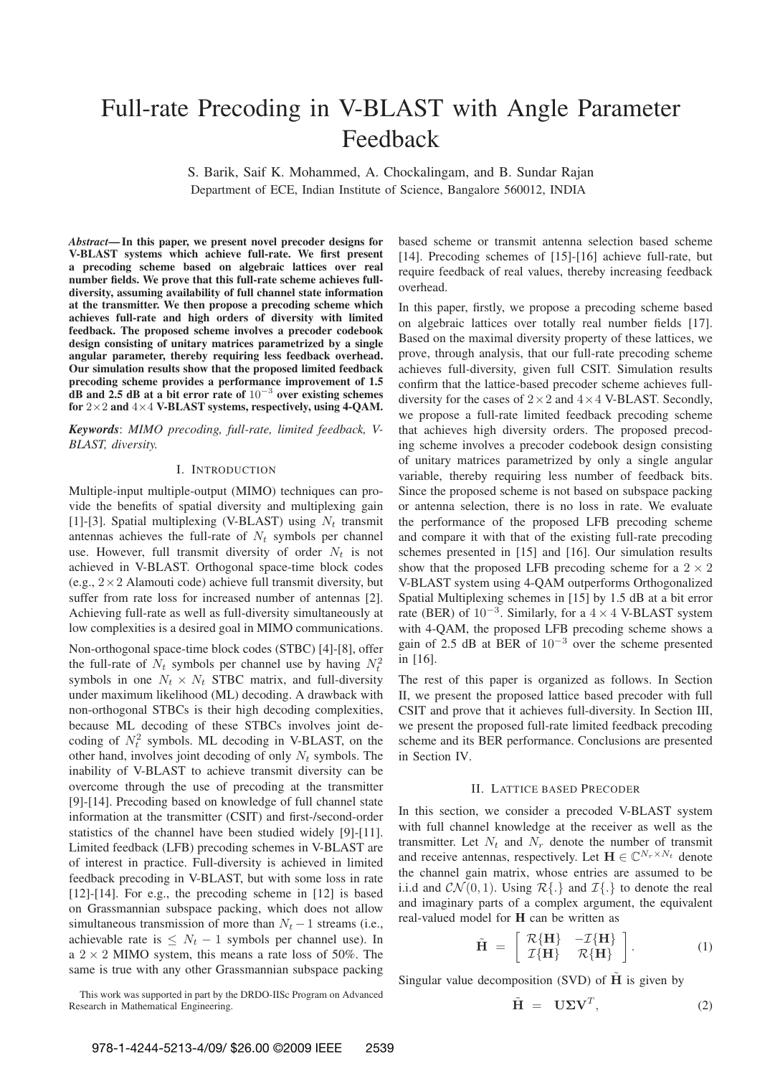# Full-rate Precoding in V-BLAST with Angle Parameter Feedback

S. Barik, Saif K. Mohammed, A. Chockalingam, and B. Sundar Rajan Department of ECE, Indian Institute of Science, Bangalore 560012, INDIA

*Abstract***— In this paper, we present novel precoder designs for V-BLAST systems which achieve full-rate. We first present a precoding scheme based on algebraic lattices over real number fields. We prove that this full-rate scheme achieves fulldiversity, assuming availability of full channel state information at the transmitter. We then propose a precoding scheme which achieves full-rate and high orders of diversity with limited feedback. The proposed scheme involves a precoder codebook design consisting of unitary matrices parametrized by a single angular parameter, thereby requiring less feedback overhead. Our simulation results show that the proposed limited feedback precoding scheme provides a performance improvement of 1.5 dB and 2.5 dB at a bit error rate of** 10<sup>−</sup><sup>3</sup> **over existing schemes for** 2×2 **and** 4×4 **V-BLAST systems, respectively, using 4-QAM.**

*Keywords*: *MIMO precoding, full-rate, limited feedback, V-BLAST, diversity.*

### I. INTRODUCTION

Multiple-input multiple-output (MIMO) techniques can provide the benefits of spatial diversity and multiplexing gain [1]-[3]. Spatial multiplexing (V-BLAST) using  $N_t$  transmit antennas achieves the full-rate of  $N_t$  symbols per channel use. However, full transmit diversity of order  $N_t$  is not achieved in V-BLAST. Orthogonal space-time block codes (e.g.,  $2 \times 2$  Alamouti code) achieve full transmit diversity, but suffer from rate loss for increased number of antennas [2]. Achieving full-rate as well as full-diversity simultaneously at low complexities is a desired goal in MIMO communications.

Non-orthogonal space-time block codes (STBC) [4]-[8], offer the full-rate of  $N_t$  symbols per channel use by having  $N_t^2$ symbols in one  $N_t \times N_t$  STBC matrix, and full-diversity under maximum likelihood (ML) decoding. A drawback with non-orthogonal STBCs is their high decoding complexities, because ML decoding of these STBCs involves joint decoding of  $N_t^2$  symbols. ML decoding in V-BLAST, on the other hand, involves joint decoding of only  $N_t$  symbols. The inability of V-BLAST to achieve transmit diversity can be overcome through the use of precoding at the transmitter [9]-[14]. Precoding based on knowledge of full channel state information at the transmitter (CSIT) and first-/second-order statistics of the channel have been studied widely [9]-[11]. Limited feedback (LFB) precoding schemes in V-BLAST are of interest in practice. Full-diversity is achieved in limited feedback precoding in V-BLAST, but with some loss in rate [12]-[14]. For e.g., the precoding scheme in [12] is based on Grassmannian subspace packing, which does not allow simultaneous transmission of more than  $N_t - 1$  streams (i.e., achievable rate is  $\leq N_t - 1$  symbols per channel use). In a  $2 \times 2$  MIMO system, this means a rate loss of 50%. The same is true with any other Grassmannian subspace packing

This work was supported in part by the DRDO-IISc Program on Advanced Research in Mathematical Engineering.

based scheme or transmit antenna selection based scheme [14]. Precoding schemes of [15]-[16] achieve full-rate, but require feedback of real values, thereby increasing feedback overhead.

In this paper, firstly, we propose a precoding scheme based on algebraic lattices over totally real number fields [17]. Based on the maximal diversity property of these lattices, we prove, through analysis, that our full-rate precoding scheme achieves full-diversity, given full CSIT. Simulation results confirm that the lattice-based precoder scheme achieves fulldiversity for the cases of  $2 \times 2$  and  $4 \times 4$  V-BLAST. Secondly, we propose a full-rate limited feedback precoding scheme that achieves high diversity orders. The proposed precoding scheme involves a precoder codebook design consisting of unitary matrices parametrized by only a single angular variable, thereby requiring less number of feedback bits. Since the proposed scheme is not based on subspace packing or antenna selection, there is no loss in rate. We evaluate the performance of the proposed LFB precoding scheme and compare it with that of the existing full-rate precoding schemes presented in [15] and [16]. Our simulation results show that the proposed LFB precoding scheme for a  $2 \times 2$ V-BLAST system using 4-QAM outperforms Orthogonalized Spatial Multiplexing schemes in [15] by 1.5 dB at a bit error rate (BER) of  $10^{-3}$ . Similarly, for a 4 × 4 V-BLAST system with 4-QAM, the proposed LFB precoding scheme shows a gain of 2.5 dB at BER of  $10^{-3}$  over the scheme presented in [16].

The rest of this paper is organized as follows. In Section II, we present the proposed lattice based precoder with full CSIT and prove that it achieves full-diversity. In Section III, we present the proposed full-rate limited feedback precoding scheme and its BER performance. Conclusions are presented in Section IV.

### II. LATTICE BASED PRECODER

In this section, we consider a precoded V-BLAST system with full channel knowledge at the receiver as well as the transmitter. Let  $N_t$  and  $N_r$  denote the number of transmit and receive antennas, respectively. Let  $\mathbf{H} \in \mathbb{C}^{N_r \times N_t}$  denote the channel gain matrix, whose entries are assumed to be i.i.d and  $CN(0, 1)$ . Using  $\mathcal{R}\{\cdot\}$  and  $\mathcal{I}\{\cdot\}$  to denote the real and imaginary parts of a complex argument, the equivalent real-valued model for **H** can be written as

$$
\tilde{\mathbf{H}} = \begin{bmatrix} R\{\mathbf{H}\} & -\mathcal{I}\{\mathbf{H}\} \\ \mathcal{I}\{\mathbf{H}\} & R\{\mathbf{H}\} \end{bmatrix} . \tag{1}
$$

Singular value decomposition (SVD) of  $\tilde{H}$  is given by

$$
\tilde{\mathbf{H}} = \mathbf{U} \Sigma \mathbf{V}^T, \tag{2}
$$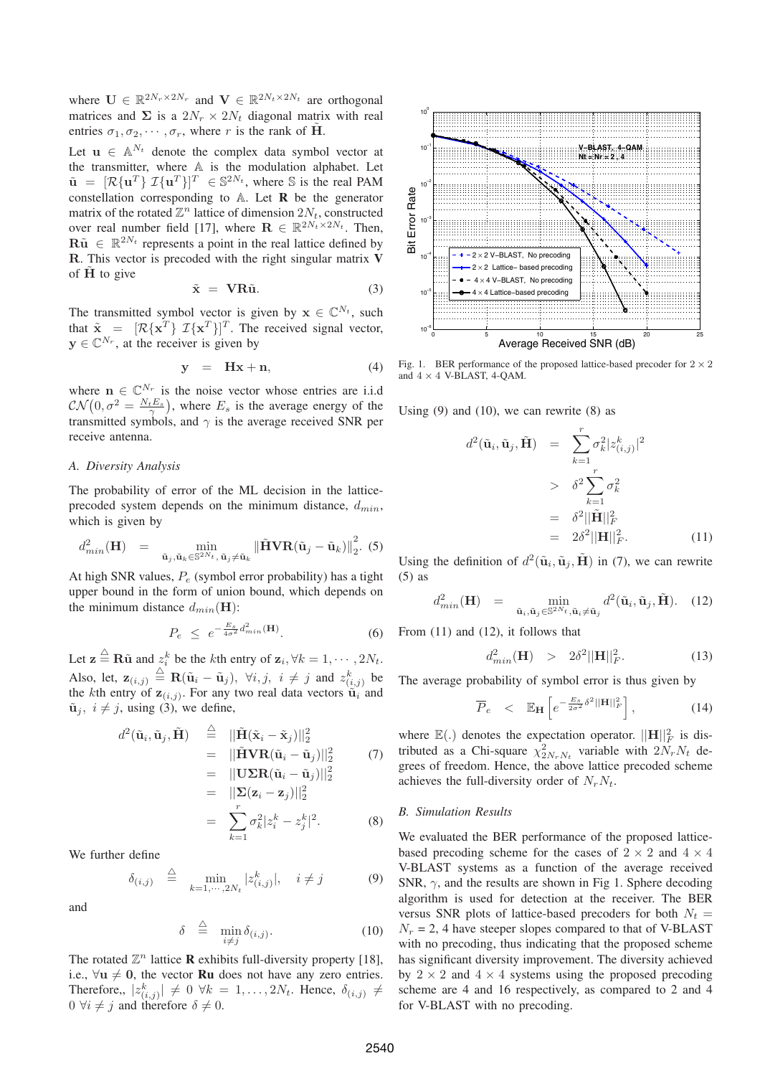where  $\mathbf{U} \in \mathbb{R}^{2N_r \times 2N_r}$  and  $\mathbf{V} \in \mathbb{R}^{2N_t \times 2N_t}$  are orthogonal matrices and  $\Sigma$  is a  $2N_r \times 2N_t$  diagonal matrix with real entries  $\sigma_1, \sigma_2, \cdots, \sigma_r$ , where r is the rank of  $\tilde{H}$ .

Let  $\mathbf{u} \in \mathbb{A}^{N_t}$  denote the complex data symbol vector at the transmitter, where A is the modulation alphabet. Let  $\tilde{\mathbf{u}} = [\mathcal{R}\{\mathbf{u}^T\} \ \mathcal{I}\{\mathbf{u}^T\}]^T \in \mathbb{S}^{2N_t}$ , where  $\mathbb{S}$  is the real PAM<br>constellation corresponding to  $\mathbb{A}$ . Let **R** be the generator constellation corresponding to A. Let **R** be the generator matrix of the rotated  $\mathbb{Z}^n$  lattice of dimension  $2N_t$ , constructed over real number field [17], where  $\mathbf{R} \in \mathbb{R}^{2N_t \times 2N_t}$ . Then,  $\mathbf{R}\tilde{\mathbf{u}} \in \mathbb{R}^{2N_t}$  represents a point in the real lattice defined by **R**. This vector is precoded with the right singular matrix **V** of  $\tilde{H}$  to give

$$
\tilde{\mathbf{x}} = \mathbf{V} \mathbf{R} \tilde{\mathbf{u}}. \tag{3}
$$

The transmitted symbol vector is given by  $\mathbf{x} \in \mathbb{C}^{N_t}$ , such that  $\tilde{\mathbf{x}} = [\mathcal{R}\{\mathbf{x}^T\} \mathcal{I}\{\mathbf{x}^T\}]^T$ . The received signal vector,  $\mathbf{y} \in \mathbb{C}^{N_r}$  at the receiver is given by  $y \in \mathbb{C}^{N_r}$ , at the receiver is given by

$$
y = Hx + n, \tag{4}
$$

where  $\mathbf{n} \in \mathbb{C}^{N_r}$  is the noise vector whose entries are i.i.d  $\mathcal{CN}(0, \sigma^2 = \frac{N_t E_s}{\gamma})$ , where  $E_s$  is the average energy of the transmitted symples and  $\gamma$  is the average received SNR per transmitted symbols, and  $\gamma$  is the average received SNR per receive antenna.

#### *A. Diversity Analysis*

The probability of error of the ML decision in the latticeprecoded system depends on the minimum distance,  $d_{min}$ , which is given by

$$
d_{min}^2(\mathbf{H}) = \min_{\tilde{\mathbf{u}}_j, \tilde{\mathbf{u}}_k \in \mathbb{S}^{2N_t}, \tilde{\mathbf{u}}_j \neq \tilde{\mathbf{u}}_k} \left\| \tilde{\mathbf{H}} \mathbf{V} \mathbf{R} (\tilde{\mathbf{u}}_j - \tilde{\mathbf{u}}_k) \right\|_2^2.
$$
 (5)

At high SNR values,  $P_e$  (symbol error probability) has a tight upper bound in the form of union bound, which depends on the minimum distance  $d_{min}(\mathbf{H})$ :

$$
P_e \le e^{-\frac{E_s}{4\sigma^2}d_{min}^2(\mathbf{H})}.
$$
 (6)

Let  $\mathbf{z} \stackrel{\triangle}{=} \mathbf{R} \tilde{\mathbf{u}}$  and  $z_i^k$  be the kth entry of  $\mathbf{z}_i, \forall k = 1, \dots, 2N_t$ . Also, let,  $\mathbf{z}_{(i,j)} \triangleq \mathbf{R}(\tilde{\mathbf{u}}_i - \tilde{\mathbf{u}}_j), \forall i, j, i \neq j \text{ and } z_{(i,j)}^k$  be the *k*<sup>th</sup> entry of  $\mathbf{z}_{(i,j)}$ . For any two real data vectors  $\tilde{\mathbf{u}}_i$  and the kth entry of  $z_{(i,j)}$ . For any two real data vectors  $\tilde{u}_i$  and  $\tilde{\mathbf{u}}_i$ ,  $i \neq j$ , using (3), we define,

$$
d^{2}(\tilde{\mathbf{u}}_{i}, \tilde{\mathbf{u}}_{j}, \tilde{\mathbf{H}}) \stackrel{\triangle}{=} ||\tilde{\mathbf{H}}(\tilde{\mathbf{x}}_{i} - \tilde{\mathbf{x}}_{j})||_{2}^{2}
$$
  
\n
$$
= ||\tilde{\mathbf{H}}\mathbf{V}\mathbf{R}(\tilde{\mathbf{u}}_{i} - \tilde{\mathbf{u}}_{j})||_{2}^{2}
$$
(7)  
\n
$$
= ||\mathbf{U}\Sigma\mathbf{R}(\tilde{\mathbf{u}}_{i} - \tilde{\mathbf{u}}_{j})||_{2}^{2}
$$
  
\n
$$
= ||\Sigma(\mathbf{z}_{i} - \mathbf{z}_{j})||_{2}^{2}
$$
  
\n
$$
= \sum_{k=1}^{r} \sigma_{k}^{2} |z_{i}^{k} - z_{j}^{k}|^{2}.
$$
(8)

We further define

$$
\delta_{(i,j)} \quad \stackrel{\triangle}{=} \quad \min_{k=1,\cdots,2N_t} |z_{(i,j)}^k|, \quad i \neq j \tag{9}
$$

and

$$
\delta \stackrel{\triangle}{=} \min_{i \neq j} \delta_{(i,j)}.\tag{10}
$$

The rotated  $\mathbb{Z}^n$  lattice **R** exhibits full-diversity property [18], i.e.,  $\forall u \neq 0$ , the vector **Ru** does not have any zero entries. Therefore,,  $|z_{(i,j)}^k| \neq 0 \ \forall k = 1, ..., 2N_t$ . Hence,  $\delta_{(i,j)} \neq 0 \ \forall i \neq j$  and therefore  $\delta \neq 0$  $0 \forall i \neq j$  and therefore  $\delta \neq 0$ .



Fig. 1. BER performance of the proposed lattice-based precoder for  $2 \times 2$ and  $4 \times 4$  V-BLAST, 4-QAM.

Using  $(9)$  and  $(10)$ , we can rewrite  $(8)$  as

$$
d^{2}(\tilde{\mathbf{u}}_{i}, \tilde{\mathbf{u}}_{j}, \tilde{\mathbf{H}}) = \sum_{k=1}^{r} \sigma_{k}^{2} |z_{(i,j)}^{k}|^{2}
$$
  
>  $\delta^{2} \sum_{k=1}^{r} \sigma_{k}^{2}$   
=  $\delta^{2} ||\tilde{\mathbf{H}}||_{F}^{2}$   
=  $2\delta^{2} ||\mathbf{H}||_{F}^{2}$ . (11)

Using the definition of  $d^2(\tilde{\mathbf{u}}_i, \tilde{\mathbf{u}}_j, \tilde{\mathbf{H}})$  in (7), we can rewrite (5) as

$$
d_{min}^2(\mathbf{H}) = \min_{\tilde{\mathbf{u}}_i, \tilde{\mathbf{u}}_j \in \mathbb{S}^{2N_t}, \tilde{\mathbf{u}}_i \neq \tilde{\mathbf{u}}_j} d^2(\tilde{\mathbf{u}}_i, \tilde{\mathbf{u}}_j, \tilde{\mathbf{H}}). (12)
$$

From (11) and (12), it follows that

$$
d_{min}^2(\mathbf{H}) \ge 2\delta^2 ||\mathbf{H}||_F^2. \tag{13}
$$

The average probability of symbol error is thus given by

$$
\overline{P}_e \quad < \quad \mathbb{E}_{\mathbf{H}} \left[ e^{-\frac{E_s}{2\sigma^2} \delta^2 ||\mathbf{H}||_F^2} \right], \tag{14}
$$

where  $\mathbb{E}(.)$  denotes the expectation operator.  $||\mathbf{H}||_F^2$  is distributed as a Chi-square  $x^2$  variable with  $2N N$ , detributed as a Chi-square  $\chi_{2N_rN_t}^2$  variable with  $2N_rN_t$  degrees of freedom. Hence the above lattice precoded scheme grees of freedom. Hence, the above lattice precoded scheme achieves the full-diversity order of  $N_rN_t$ .

## *B. Simulation Results*

We evaluated the BER performance of the proposed latticebased precoding scheme for the cases of  $2 \times 2$  and  $4 \times 4$ V-BLAST systems as a function of the average received SNR,  $\gamma$ , and the results are shown in Fig 1. Sphere decoding algorithm is used for detection at the receiver. The BER versus SNR plots of lattice-based precoders for both  $N_t =$  $N_r = 2$ , 4 have steeper slopes compared to that of V-BLAST with no precoding, thus indicating that the proposed scheme has significant diversity improvement. The diversity achieved by  $2 \times 2$  and  $4 \times 4$  systems using the proposed precoding scheme are 4 and 16 respectively, as compared to 2 and 4 for V-BLAST with no precoding.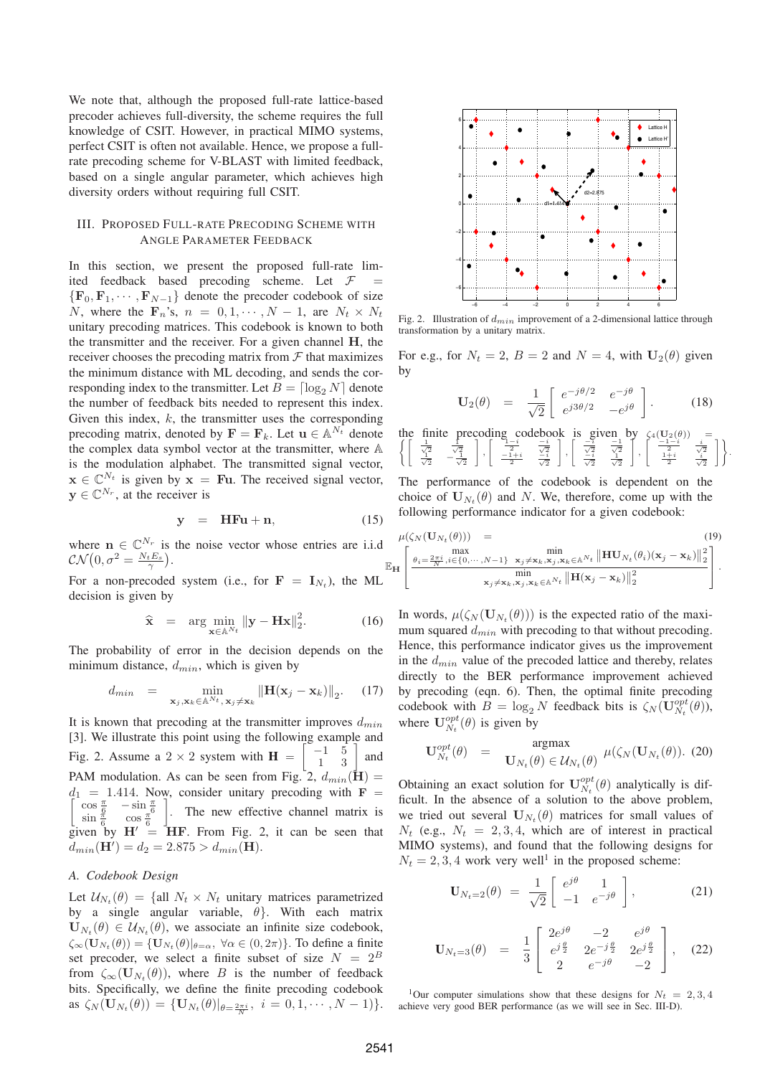We note that, although the proposed full-rate lattice-based precoder achieves full-diversity, the scheme requires the full knowledge of CSIT. However, in practical MIMO systems, perfect CSIT is often not available. Hence, we propose a fullrate precoding scheme for V-BLAST with limited feedback, based on a single angular parameter, which achieves high diversity orders without requiring full CSIT.

## III. PROPOSED FULL-RATE PRECODING SCHEME WITH ANGLE PARAMETER FEEDBACK

In this section, we present the proposed full-rate limited feedback based precoding scheme. Let  $\mathcal{F}$  =  ${\bf F}_0, {\bf F}_1, \cdots, {\bf F}_{N-1}$  denote the precoder codebook of size N, where the  $\mathbf{F}_n$ 's,  $n = 0, 1, \dots, N - 1$ , are  $N_t \times N_t$ unitary precoding matrices. This codebook is known to both the transmitter and the receiver. For a given channel **H**, the receiver chooses the precoding matrix from  $\mathcal F$  that maximizes the minimum distance with ML decoding, and sends the corresponding index to the transmitter. Let  $B = \lceil \log_2 N \rceil$  denote the number of feedback bits needed to represent this index. Given this index,  $k$ , the transmitter uses the corresponding precoding matrix, denoted by  $\mathbf{F} = \mathbf{F}_k$ . Let  $\mathbf{u} \in \mathbb{A}^{N_t}$  denote the complex data symbol vector at the transmitter, where A is the modulation alphabet. The transmitted signal vector,  $\mathbf{x} \in \mathbb{C}^{N_t}$  is given by  $\mathbf{x} = \mathbf{F} \mathbf{u}$ . The received signal vector,  $y \in \mathbb{C}^{N_r}$ , at the receiver is

$$
y = HFu + n, \qquad (15)
$$

where  $\mathbf{n} \in \mathbb{C}^{N_r}$  is the noise vector whose entries are i.i.d  $\mathcal{CN}\left(0,\sigma^2=\frac{N_tE_s}{\gamma}\right).$ 

For a non-precoded system (i.e., for  $\mathbf{F} = \mathbf{I}_{N_t}$ ), the ML decision is given by

$$
\widehat{\mathbf{x}} = \arg \min_{\mathbf{x} \in \mathbb{A}^{N_t}} \|\mathbf{y} - \mathbf{H}\mathbf{x}\|_2^2. \tag{16}
$$

The probability of error in the decision depends on the minimum distance,  $d_{min}$ , which is given by

$$
d_{min} = \min_{\mathbf{x}_j, \mathbf{x}_k \in \mathbb{A}^{N_t}, \mathbf{x}_j \neq \mathbf{x}_k} ||\mathbf{H}(\mathbf{x}_j - \mathbf{x}_k)||_2.
$$
 (17)

It is known that precoding at the transmitter improves  $d_{min}$ [3]. We illustrate this point using the following example and Fig. 2. Assume a  $2 \times 2$  system with **H** =  $\begin{bmatrix} -1 & 5 \\ 1 & 3 \end{bmatrix}$ and PAM modulation. As can be seen from Fig. 2,  $d_{min}(\mathbf{H}) =$  $d_1 = 1.414$ . Now, consider unitary precoding with **F** =  $\begin{bmatrix} \cos \frac{\pi}{2} & -\sin \frac{\pi}{2} \end{bmatrix}$  $\cos \frac{\pi}{6}$   $-\sin \frac{\pi}{6}$  $\sin \frac{\pi}{6}$   $\cos \frac{\pi}{6}$ . The new effective channel matrix is given by  $H' = HF$ . From Fig. 2, it can be seen that  $d_{min}(\mathbf{H}') = d_2 = 2.875 > d_{min}(\mathbf{H}).$ 

# *A. Codebook Design*

Let  $U_{N_t}(\theta) = \{\text{all } N_t \times N_t \text{ unitary matrices parameterized}\}$ by a single angular variable,  $\theta$ . With each matrix  $\mathbf{U}_{N_t}(\theta) \in \mathcal{U}_{N_t}(\theta)$ , we associate an infinite size codebook,  $\zeta_{\infty}(\mathbf{U}_{N_t}(\theta)) = {\mathbf{U}_{N_t}(\theta)|_{\theta=\alpha}}, \forall \alpha \in (0, 2\pi)$ . To define a finite set precoder, we select a finite subset of size  $N = 2^B$ from  $\zeta_{\infty}(\mathbf{U}_{N_{t}}(\theta))$ , where B is the number of feedback bits. Specifically, we define the finite precoding codebook as  $\zeta_N(\mathbf{U}_{N_t}(\theta)) = {\mathbf{U}_{N_t}(\theta)|_{\theta = \frac{2\pi i}{N}}, i = 0, 1, \cdots, N-1)}.$ 



Fig. 2. Illustration of  $d_{min}$  improvement of a 2-dimensional lattice through transformation by a unitary matrix.

For e.g., for  $N_t = 2$ ,  $B = 2$  and  $N = 4$ , with  $U_2(\theta)$  given by

$$
\mathbf{U}_2(\theta) = \frac{1}{\sqrt{2}} \begin{bmatrix} e^{-j\theta/2} & e^{-j\theta} \\ e^{j3\theta/2} & -e^{j\theta} \end{bmatrix}.
$$
 (18)

the finite preceding codebook is given by 
$$
\zeta_4(\mathbf{U}_2(\theta)) = \left\{ \begin{bmatrix} \frac{1}{\sqrt{2}} & \frac{1}{\sqrt{2}} \\ \frac{\sqrt{2}}{\sqrt{2}} & -\frac{\sqrt{2}}{\sqrt{2}} \end{bmatrix}, \begin{bmatrix} \frac{-i}{2} & \frac{-i}{\sqrt{2}} \\ \frac{-1+i}{2} & \frac{-i}{\sqrt{2}} \end{bmatrix}, \begin{bmatrix} \frac{-i}{\sqrt{2}} & \frac{-1}{\sqrt{2}} \\ \frac{-i}{\sqrt{2}} & \frac{-i}{\sqrt{2}} \end{bmatrix}, \begin{bmatrix} \frac{-1-i}{2} & \frac{i}{\sqrt{2}} \\ \frac{-i}{\sqrt{2}} & \frac{i}{\sqrt{2}} \end{bmatrix} \right\}.
$$

The performance of the codebook is dependent on the choice of  $\mathbf{U}_{N_t}(\theta)$  and N. We, therefore, come up with the following performance indicator for a given codebook:

$$
\mu(\zeta_N(\mathbf{U}_{N_t}(\theta))) = \n\mathbb{E}_{\mathbf{H}} \left[ \frac{\theta_i = \frac{2\pi i}{N}, i \in \{0, \cdots, N-1\}}{\exp\left(\frac{\theta_i - \frac{2\pi i}{N}, i \in \{0, \cdots, N-1\}}{\exp\left(\frac{\pi i}{N} \sum_{j=1}^N \mathbf{X}_k, \mathbf{X}_j, \mathbf{X}_k \in \mathbb{A}^{N_t}} \|\mathbf{H}(\mathbf{x}_j - \mathbf{x}_k)\|_2^2}{\|\mathbf{H}(\mathbf{x}_j - \mathbf{x}_k)\|_2^2} \right].
$$
\n(19)

In words,  $\mu(\zeta_N(\mathbf{U}_{N_t}(\theta)))$  is the expected ratio of the maximum squared  $d_{min}$  with precoding to that without precoding. Hence, this performance indicator gives us the improvement in the  $d_{min}$  value of the precoded lattice and thereby, relates directly to the BER performance improvement achieved by precoding (eqn. 6). Then, the optimal finite precoding codebook with  $B = \log_2 N$  feedback bits is  $\zeta_N(\mathbf{U}_{N_t}^{opt}(\theta))$ , where  $\mathbf{U}_{N_t}^{opt}(\theta)$  is given by

$$
\mathbf{U}_{N_t}^{opt}(\theta) = \mathbf{argmax}_{\mathbf{U}_{N_t}(\theta) \in \mathcal{U}_{N_t}(\theta)} \mu(\zeta_N(\mathbf{U}_{N_t}(\theta)). \tag{20}
$$

Obtaining an exact solution for  $\mathbf{U}_{N_t}^{opt}(\theta)$  analytically is dif-<br>ficult. In the absence of a solution to the above problem ficult. In the absence of a solution to the above problem, we tried out several  $\mathbf{U}_{N_t}(\theta)$  matrices for small values of  $N_t$  (e.g.,  $N_t = 2, 3, 4$ , which are of interest in practical MIMO systems), and found that the following designs for  $N_t = 2, 3, 4$  work very well<sup>1</sup> in the proposed scheme:

$$
\mathbf{U}_{N_t=2}(\theta) = \frac{1}{\sqrt{2}} \begin{bmatrix} e^{j\theta} & 1\\ -1 & e^{-j\theta} \end{bmatrix}, \quad (21)
$$

$$
\mathbf{U}_{N_t=3}(\theta) = \frac{1}{3} \begin{bmatrix} 2e^{j\theta} & -2 & e^{j\theta} \\ e^{j\frac{\theta}{2}} & 2e^{-j\frac{\theta}{2}} & 2e^{j\frac{\theta}{2}} \\ 2 & e^{-j\theta} & -2 \end{bmatrix}, \quad (22)
$$

<sup>1</sup>Our computer simulations show that these designs for  $N_t = 2, 3, 4$ achieve very good BER performance (as we will see in Sec. III-D).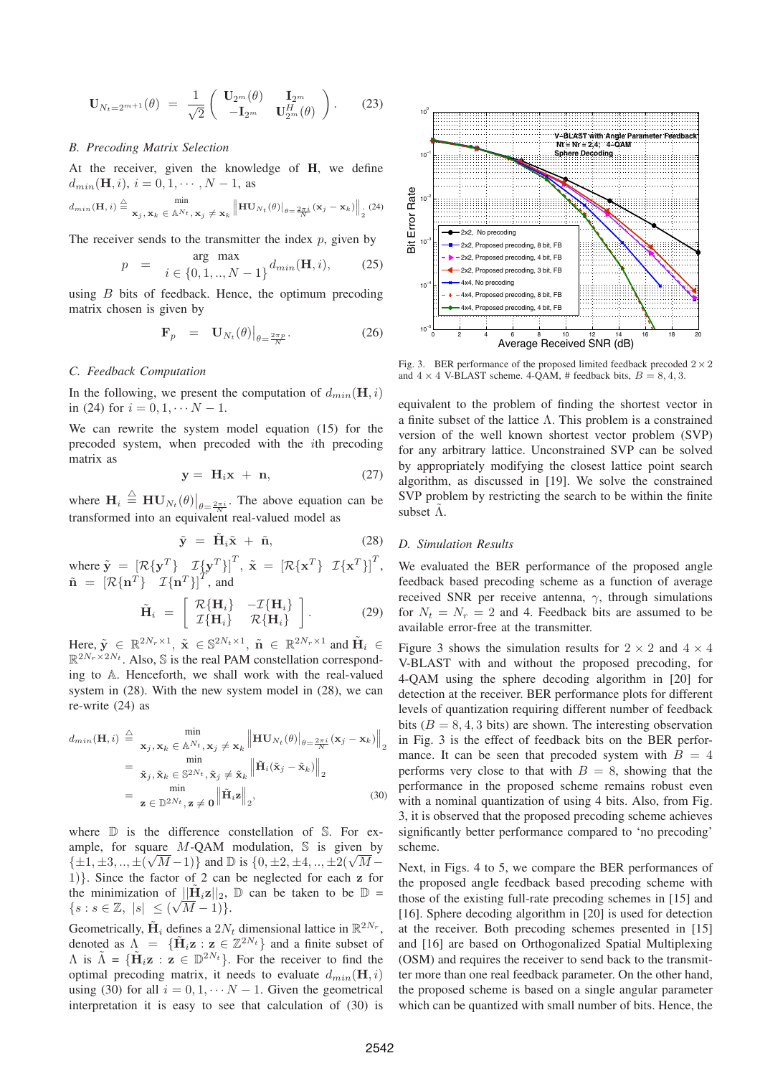$$
\mathbf{U}_{N_t=2^{m+1}}(\theta) = \frac{1}{\sqrt{2}} \begin{pmatrix} \mathbf{U}_{2^m}(\theta) & \mathbf{I}_{2^m} \\ -\mathbf{I}_{2^m} & \mathbf{U}_{2^m}^H(\theta) \end{pmatrix} . \tag{23}
$$

# *B. Precoding Matrix Selection*

At the receiver, given the knowledge of **H**, we define  $d_{min}(\mathbf{H}, i), i = 0, 1, \cdots, N - 1$ , as

$$
d_{min}(\mathbf{H}, i) \stackrel{\triangle}{=} \mathbf{x}_j, \mathbf{x}_k \in \mathbb{A}^{N_t}, \mathbf{x}_j \neq \mathbf{x}_k \left\| \mathbf{HU}_{N_t}(\theta) \right\|_{\theta = \frac{2\pi i}{N}} (\mathbf{x}_j - \mathbf{x}_k) \right\|_2 (24)
$$

The receiver sends to the transmitter the index  $p$ , given by

$$
p = \arg \max_{i \in \{0, 1, ..., N-1\}} d_{min}(\mathbf{H}, i),
$$
 (25)

using  $B$  bits of feedback. Hence, the optimum precoding matrix chosen is given by

$$
\mathbf{F}_p = \mathbf{U}_{N_t}(\theta) \big|_{\theta = \frac{2\pi p}{N}}.
$$
 (26)

## *C. Feedback Computation*

In the following, we present the computation of  $d_{min}(\mathbf{H}, i)$ in (24) for  $i = 0, 1, \cdots N - 1$ .

We can rewrite the system model equation (15) for the precoded system, when precoded with the ith precoding matrix as

$$
y = H_i x + n, \qquad (27)
$$

where  $\mathbf{H}_i \triangleq \mathbf{H} \mathbf{U}_{N_t}(\theta) \big|_{\theta = \frac{2\pi i}{\theta}}$ . The above equation can be transformed into an equivalent real-valued model as

$$
\tilde{\mathbf{y}} = \tilde{\mathbf{H}}_i \tilde{\mathbf{x}} + \tilde{\mathbf{n}}, \tag{28}
$$

where  $\tilde{\mathbf{y}} = [\mathcal{R}\{\mathbf{y}^T\} \mathcal{I}\{\mathbf{y}^T\}]^T$ ,  $\tilde{\mathbf{x}} = [\mathcal{R}\{\mathbf{x}^T\} \mathcal{I}\{\mathbf{x}^T\}]^T$ ,  $\tilde{\mathbf{x}} = [\mathcal{R}\{\mathbf{x}^T\} \mathcal{I}\{\mathbf{x}^T\}]^T$ ,  $\tilde{\mathbf{n}} = [\mathcal{R}\{\mathbf{n}^T\} \mathcal{I}\{\mathbf{n}^T\}]^T$ , and

$$
\tilde{\mathbf{H}}_i = \begin{bmatrix} \mathcal{R}\{\mathbf{H}_i\} & -\mathcal{I}\{\mathbf{H}_i\} \\ \mathcal{I}\{\mathbf{H}_i\} & \mathcal{R}\{\mathbf{H}_i\} \end{bmatrix} . \tag{29}
$$

Here,  $\tilde{\mathbf{y}} \in \mathbb{R}^{2N_r \times 1}$ ,  $\tilde{\mathbf{x}} \in \mathbb{S}^{2N_t \times 1}$ ,  $\tilde{\mathbf{n}} \in \mathbb{R}^{2N_r \times 1}$  and  $\tilde{\mathbf{H}}_i \in$  $\mathbb{R}^{2N_r\times 2N_t}$ . Also, S is the real PAM constellation corresponding to A. Henceforth, we shall work with the real-valued system in (28). With the new system model in (28), we can re-write (24) as

$$
d_{min}(\mathbf{H}, i) \triangleq \min_{\mathbf{x}_j, \mathbf{x}_k \in \mathbb{A}^{N_t}, \mathbf{x}_j \neq \mathbf{x}_k} \left\| \mathbf{H} \mathbf{U}_{N_t}(\theta) \right\|_{\theta = \frac{2\pi i}{N}} (\mathbf{x}_j - \mathbf{x}_k) \Big\|_2
$$
  
\n
$$
= \min_{\tilde{\mathbf{x}}_j, \tilde{\mathbf{x}}_k \in \mathbb{S}^{2N_t}, \tilde{\mathbf{x}}_j \neq \tilde{\mathbf{x}}_k} \left\| \tilde{\mathbf{H}}_i(\tilde{\mathbf{x}}_j - \tilde{\mathbf{x}}_k) \right\|_2
$$
  
\n
$$
= \min_{\mathbf{z} \in \mathbb{D}^{2N_t}, \mathbf{z} \neq \mathbf{0}} \left\| \tilde{\mathbf{H}}_i \mathbf{z} \right\|_2, \tag{30}
$$

where  $\mathbb D$  is the difference constellation of S. For example, for square M-QAM modulation,  $\Im$  is given by ample, for square M-QAM modulation,  $\geq$  is given by<br>{ $\pm 1, \pm 3, \ldots, \pm (\sqrt{M} - 1)$ } and  $\mathbb{D}$  is {0,  $\pm 2, \pm 4, \ldots, \pm 2(\sqrt{M} -$ <br>1)} Since the factor of 2 can be neglected for each z for 1)}. Since the factor of 2 can be neglected for each **<sup>z</sup>** for the minimization of  $\|\tilde{\mathbf{H}}_i\mathbf{z}\|_2$ ,  $\mathbb{D}$  can be taken to be  $\mathbb{D} =$  $\{s : s \in \mathbb{Z}, |s| \leq (\sqrt{M} - 1)\}.$ 

Geometrically,  $\tilde{\mathbf{H}}_i$  defines a 2N<sub>t</sub> dimensional lattice in  $\mathbb{R}^{2N_r}$ , denoted as  $\Lambda = {\{\tilde{\mathbf{H}}_i \mathbf{z} : \mathbf{z} \in \mathbb{Z}^{2N_t}\}$  and a finite subset of  $\Lambda$  is  $\tilde{\Lambda} = {\{\tilde{\mathbf{H}}_i \mathbf{z} : \mathbf{z} \in \mathbb{D}^{2N_t}\}}$ . For the receiver to find the optimal precoding matrix, it needs to evaluate  $d_{min}(\mathbf{H}, i)$ using (30) for all  $i = 0, 1, \cdots N - 1$ . Given the geometrical interpretation it is easy to see that calculation of (30) is



Fig. 3. BER performance of the proposed limited feedback precoded  $2 \times 2$ and  $4 \times 4$  V-BLAST scheme. 4-QAM, # feedback bits,  $B = 8, 4, 3$ .

equivalent to the problem of finding the shortest vector in a finite subset of the lattice  $\Lambda$ . This problem is a constrained version of the well known shortest vector problem (SVP) for any arbitrary lattice. Unconstrained SVP can be solved by appropriately modifying the closest lattice point search algorithm, as discussed in [19]. We solve the constrained SVP problem by restricting the search to be within the finite subset  $\tilde{\Lambda}$ .

# *D. Simulation Results*

We evaluated the BER performance of the proposed angle feedback based precoding scheme as a function of average received SNR per receive antenna,  $\gamma$ , through simulations for  $N_t = N_r = 2$  and 4. Feedback bits are assumed to be available error-free at the transmitter.

Figure 3 shows the simulation results for  $2 \times 2$  and  $4 \times 4$ V-BLAST with and without the proposed precoding, for 4-QAM using the sphere decoding algorithm in [20] for detection at the receiver. BER performance plots for different levels of quantization requiring different number of feedback bits  $(B = 8, 4, 3$  bits) are shown. The interesting observation in Fig. 3 is the effect of feedback bits on the BER performance. It can be seen that precoded system with  $B = 4$ performs very close to that with  $B = 8$ , showing that the performance in the proposed scheme remains robust even with a nominal quantization of using 4 bits. Also, from Fig. 3, it is observed that the proposed precoding scheme achieves significantly better performance compared to 'no precoding' scheme.

Next, in Figs. 4 to 5, we compare the BER performances of the proposed angle feedback based precoding scheme with those of the existing full-rate precoding schemes in [15] and [16]. Sphere decoding algorithm in [20] is used for detection at the receiver. Both precoding schemes presented in [15] and [16] are based on Orthogonalized Spatial Multiplexing (OSM) and requires the receiver to send back to the transmitter more than one real feedback parameter. On the other hand, the proposed scheme is based on a single angular parameter which can be quantized with small number of bits. Hence, the